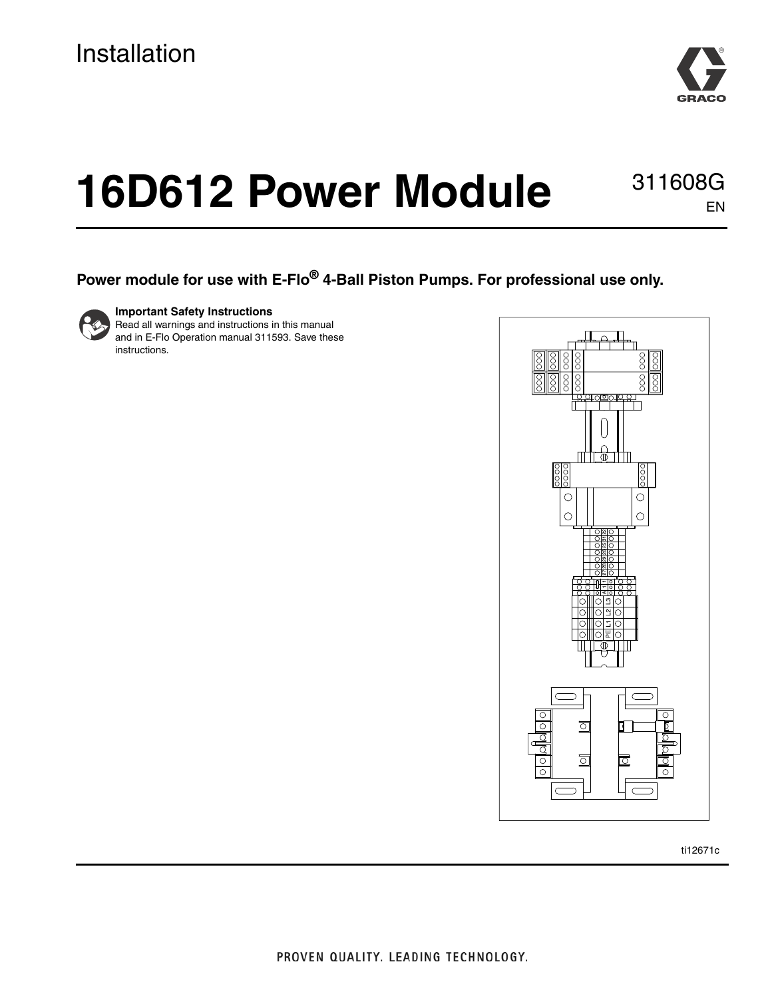

# **16D612 Power Module**

311608G EN

#### **Power module for use with E-Flo® 4-Ball Piston Pumps. For professional use only.**



**Important Safety Instructions**

Read all warnings and instructions in this manual and in E-Flo Operation manual 311593. Save these instructions.



ti12671c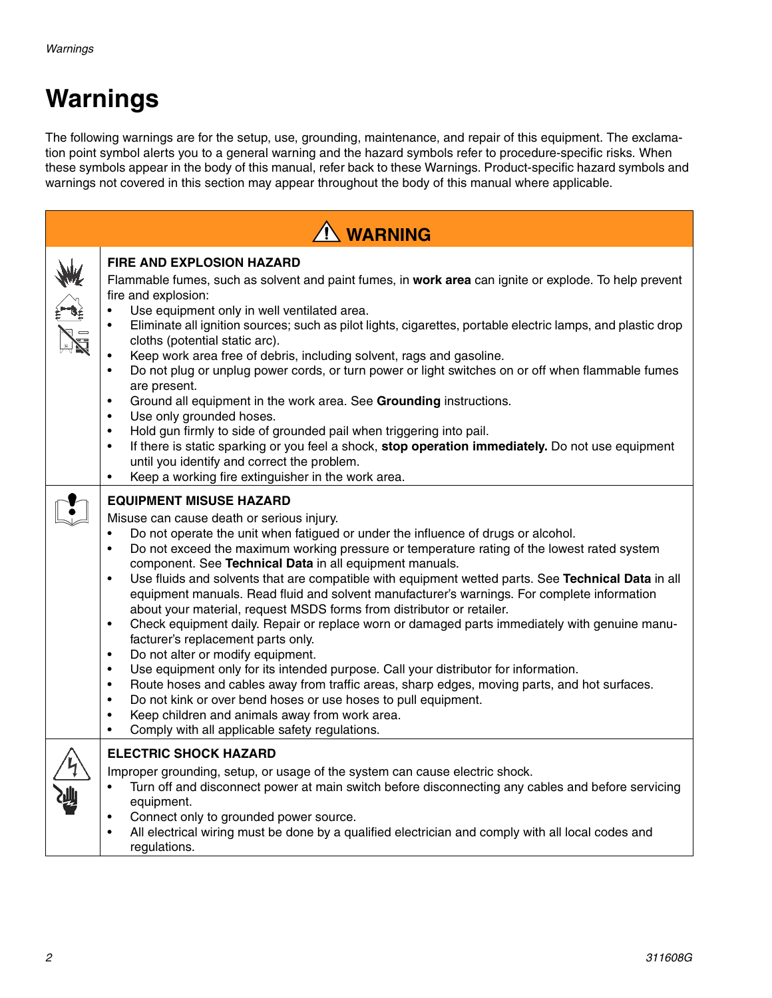# **Warnings**

The following warnings are for the setup, use, grounding, maintenance, and repair of this equipment. The exclamation point symbol alerts you to a general warning and the hazard symbols refer to procedure-specific risks. When these symbols appear in the body of this manual, refer back to these Warnings. Product-specific hazard symbols and warnings not covered in this section may appear throughout the body of this manual where applicable.

| <b>N</b> WARNING |                                                                                                                                                                                                                                                                                                                                                                                                                                                                                                                                                                                                                                                                                                                                                                                                                                                                                                                                                                                                                                                                                                                                                                                                                                                                                     |  |  |  |
|------------------|-------------------------------------------------------------------------------------------------------------------------------------------------------------------------------------------------------------------------------------------------------------------------------------------------------------------------------------------------------------------------------------------------------------------------------------------------------------------------------------------------------------------------------------------------------------------------------------------------------------------------------------------------------------------------------------------------------------------------------------------------------------------------------------------------------------------------------------------------------------------------------------------------------------------------------------------------------------------------------------------------------------------------------------------------------------------------------------------------------------------------------------------------------------------------------------------------------------------------------------------------------------------------------------|--|--|--|
|                  | <b>FIRE AND EXPLOSION HAZARD</b><br>Flammable fumes, such as solvent and paint fumes, in work area can ignite or explode. To help prevent<br>fire and explosion:<br>Use equipment only in well ventilated area.<br>$\bullet$<br>Eliminate all ignition sources; such as pilot lights, cigarettes, portable electric lamps, and plastic drop<br>$\bullet$<br>cloths (potential static arc).<br>Keep work area free of debris, including solvent, rags and gasoline.<br>Do not plug or unplug power cords, or turn power or light switches on or off when flammable fumes<br>$\bullet$<br>are present.<br>Ground all equipment in the work area. See Grounding instructions.<br>$\bullet$<br>Use only grounded hoses.<br>Hold gun firmly to side of grounded pail when triggering into pail.<br>$\bullet$<br>If there is static sparking or you feel a shock, stop operation immediately. Do not use equipment<br>$\bullet$<br>until you identify and correct the problem.<br>Keep a working fire extinguisher in the work area.<br>$\bullet$                                                                                                                                                                                                                                         |  |  |  |
|                  | <b>EQUIPMENT MISUSE HAZARD</b><br>Misuse can cause death or serious injury.<br>Do not operate the unit when fatigued or under the influence of drugs or alcohol.<br>$\bullet$<br>Do not exceed the maximum working pressure or temperature rating of the lowest rated system<br>$\bullet$<br>component. See Technical Data in all equipment manuals.<br>Use fluids and solvents that are compatible with equipment wetted parts. See Technical Data in all<br>$\bullet$<br>equipment manuals. Read fluid and solvent manufacturer's warnings. For complete information<br>about your material, request MSDS forms from distributor or retailer.<br>Check equipment daily. Repair or replace worn or damaged parts immediately with genuine manu-<br>$\bullet$<br>facturer's replacement parts only.<br>Do not alter or modify equipment.<br>$\bullet$<br>Use equipment only for its intended purpose. Call your distributor for information.<br>$\bullet$<br>Route hoses and cables away from traffic areas, sharp edges, moving parts, and hot surfaces.<br>$\bullet$<br>Do not kink or over bend hoses or use hoses to pull equipment.<br>$\bullet$<br>Keep children and animals away from work area.<br>$\bullet$<br>Comply with all applicable safety regulations.<br>$\bullet$ |  |  |  |
|                  | <b>ELECTRIC SHOCK HAZARD</b><br>Improper grounding, setup, or usage of the system can cause electric shock.<br>Turn off and disconnect power at main switch before disconnecting any cables and before servicing<br>$\bullet$<br>equipment.<br>Connect only to grounded power source.<br>$\bullet$<br>All electrical wiring must be done by a qualified electrician and comply with all local codes and<br>$\bullet$<br>regulations.                                                                                                                                                                                                                                                                                                                                                                                                                                                                                                                                                                                                                                                                                                                                                                                                                                                |  |  |  |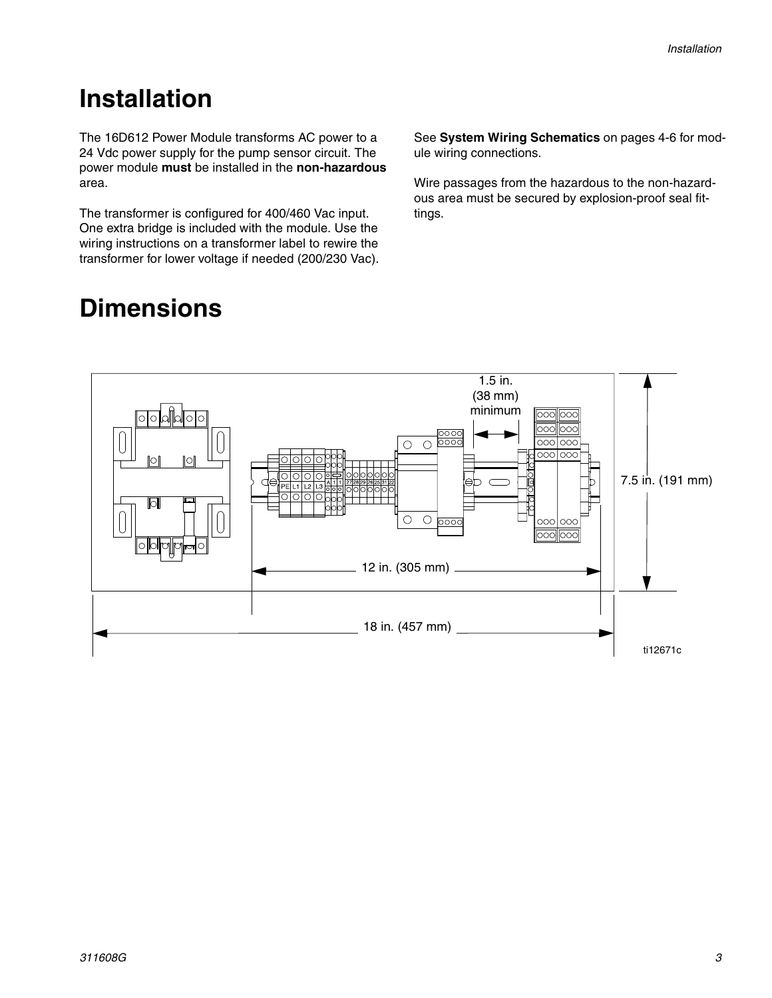### **Installation**

The 16D612 Power Module transforms AC power to a 24 Vdc power supply for the pump sensor circuit. The power module **must** be installed in the **non-hazardous** area.

The transformer is configured for 400/460 Vac input. One extra bridge is included with the module. Use the wiring instructions on a transformer label to rewire the transformer for lower voltage if needed (200/230 Vac). See **[System Wiring Schematics](#page-3-0)** on pages 4-6 for module wiring connections.

Wire passages from the hazardous to the non-hazardous area must be secured by explosion-proof seal fittings.



# **Dimensions**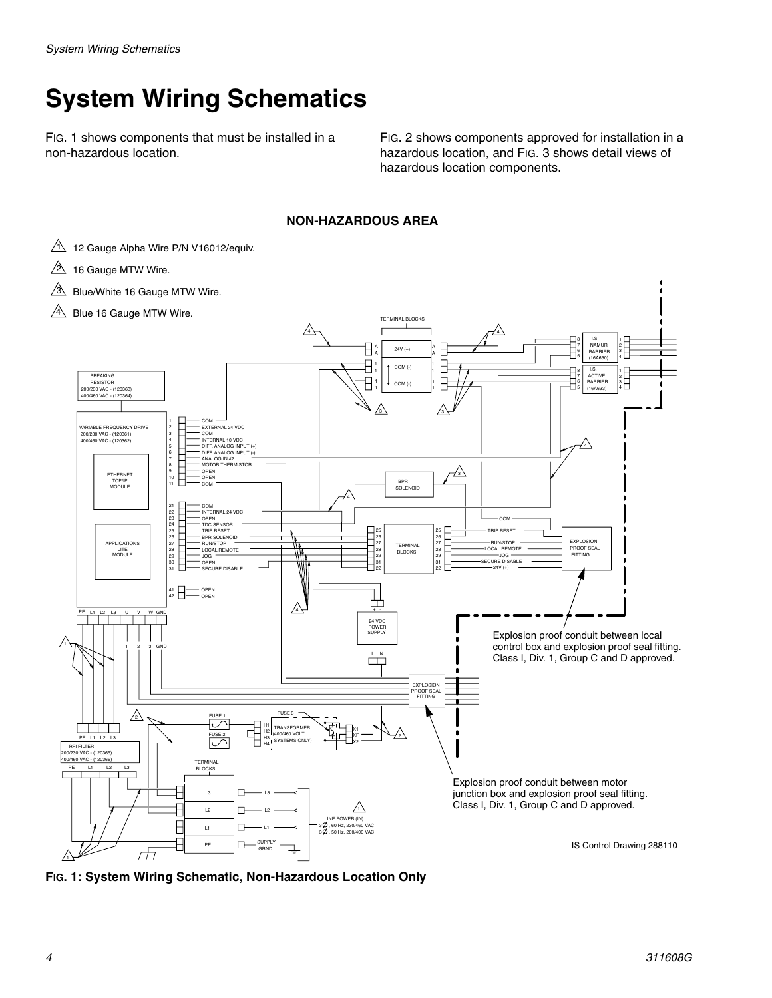# <span id="page-3-0"></span>**System Wiring Schematics**

FIG. 1 shows components that must be installed in a non-hazardous location.

FIG. 2 shows components approved for installation in a hazardous location, and FIG. 3 shows detail views of hazardous location components.

#### **NON-HAZARDOUS AREA**

- $1$  12 Gauge Alpha Wire P/N V16012/equiv.
- $2\!\!\!\!\triangleq\!\!\!\>$  16 Gauge MTW Wire.
- $3$  Blue/White 16 Gauge MTW Wire.
- $4\sqrt{4}$  Blue 16 Gauge MTW Wire.



**FIG. 1: System Wiring Schematic, Non-Hazardous Location Only**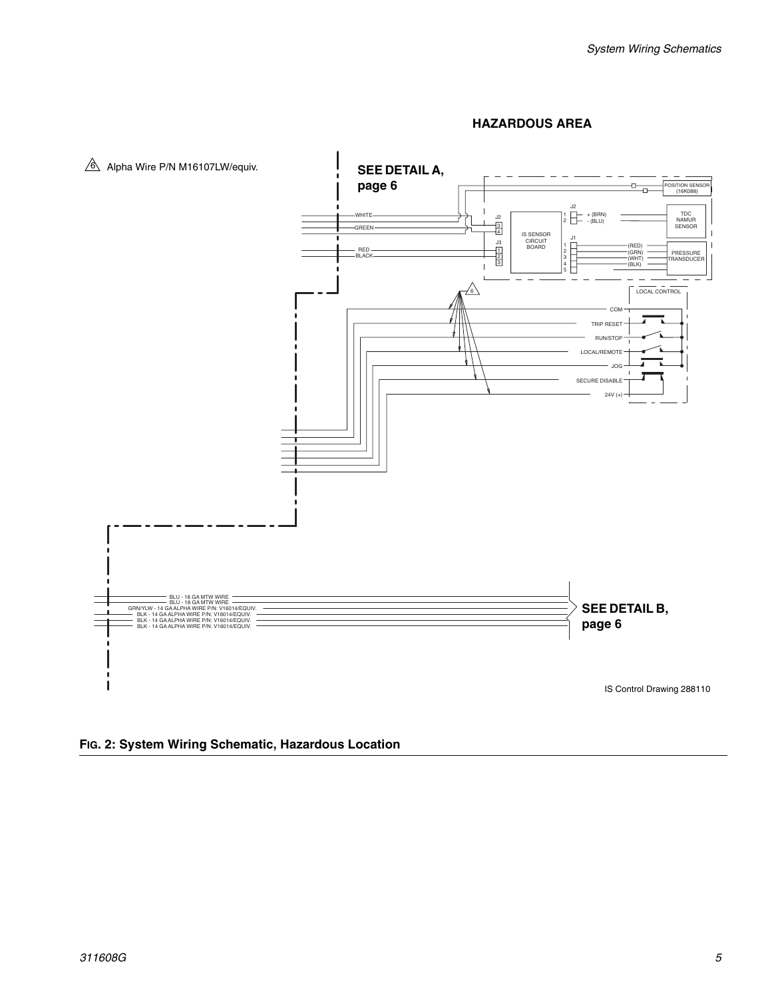

#### **HAZARDOUS AREA**

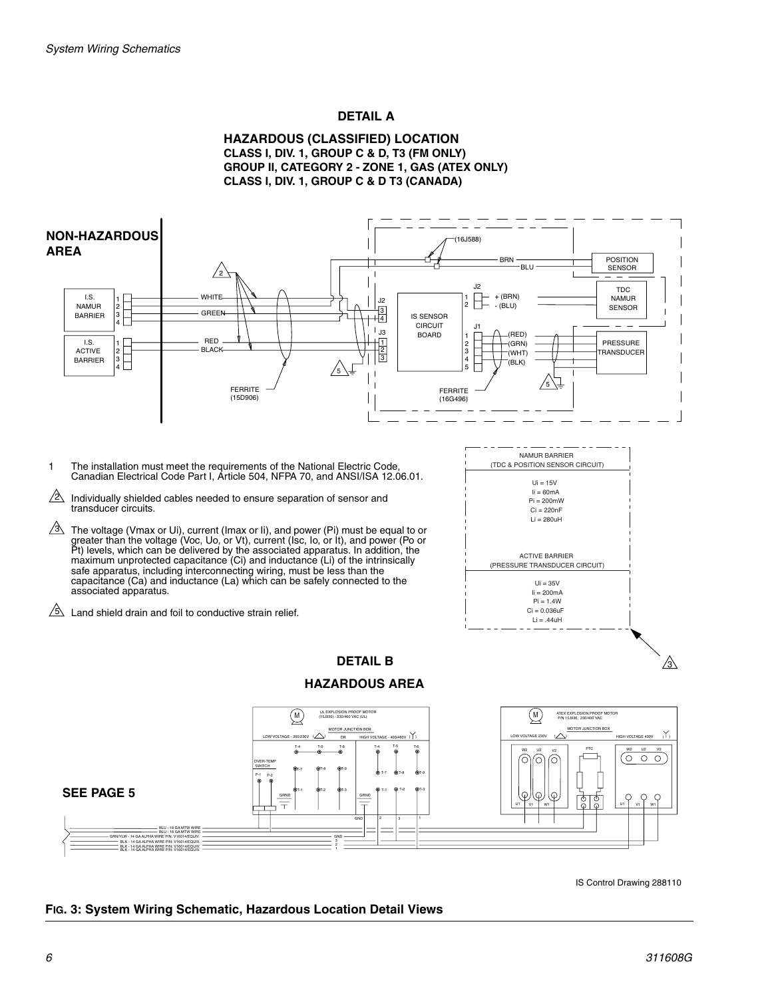#### **DETAIL A**





IS Control Drawing 288110

#### **FIG. 3: System Wiring Schematic, Hazardous Location Detail Views**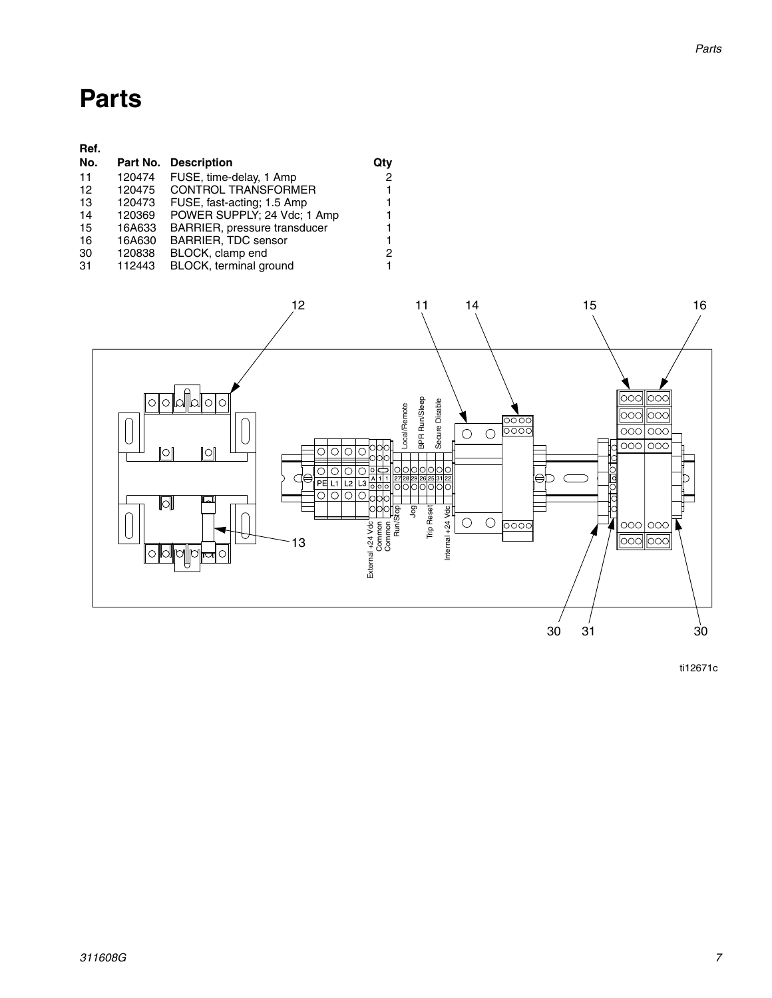### **Parts**

| Ref. |        |                              |     |
|------|--------|------------------------------|-----|
| No.  |        | Part No. Description         | Qtv |
| 11   | 120474 | FUSE, time-delay, 1 Amp      | 2   |
| 12   | 120475 | <b>CONTROL TRANSFORMER</b>   | 1   |
| 13   | 120473 | FUSE, fast-acting; 1.5 Amp   | 1   |
| 14   | 120369 | POWER SUPPLY; 24 Vdc; 1 Amp  | 1   |
| 15   | 16A633 | BARRIER, pressure transducer | 1   |
| 16   | 16A630 | <b>BARRIER, TDC sensor</b>   | 1   |
| 30   | 120838 | BLOCK, clamp end             | 2   |
| -31  | 112443 | BLOCK, terminal ground       | 1   |



ti12671c